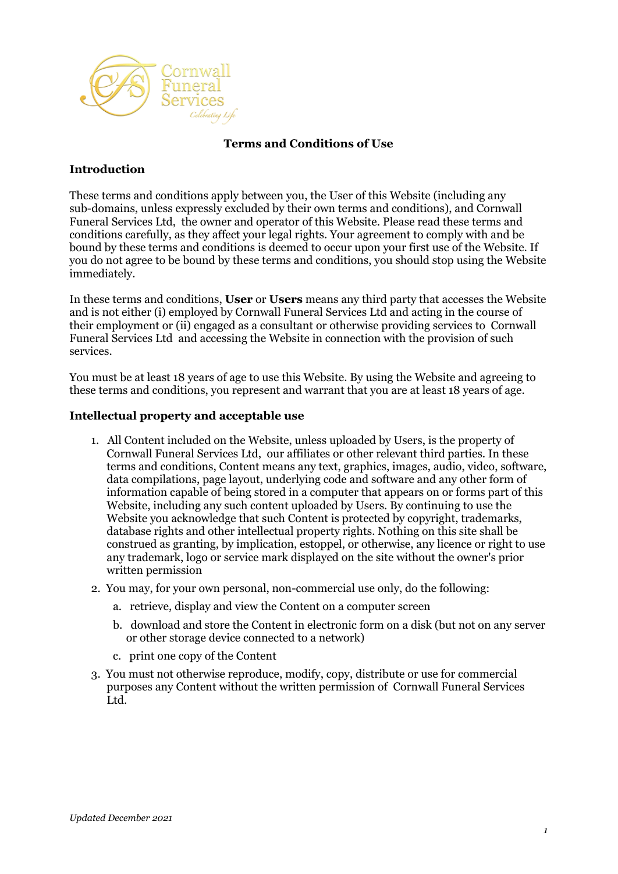

### **Terms and Conditions of Use**

### **Introduction**

These terms and conditions apply between you, the User of this Website (including any sub-domains, unless expressly excluded by their own terms and conditions), and Cornwall Funeral Services Ltd, the owner and operator of this Website. Please read these terms and conditions carefully, as they affect your legal rights. Your agreement to comply with and be bound by these terms and conditions is deemed to occur upon your first use of the Website. If you do not agree to be bound by these terms and conditions, you should stop using the Website immediately.

In these terms and conditions, **User** or **Users** means any third party that accesses the Website and is not either (i) employed by Cornwall Funeral Services Ltd and acting in the course of their employment or (ii) engaged as a consultant or otherwise providing services to Cornwall Funeral Services Ltd and accessing the Website in connection with the provision of such services.

You must be at least 18 years of age to use this Website. By using the Website and agreeing to these terms and conditions, you represent and warrant that you are at least 18 years of age.

#### **Intellectual property and acceptable use**

- 1. All Content included on the Website, unless uploaded by Users, is the property of Cornwall Funeral Services Ltd, our affiliates or other relevant third parties. In these terms and conditions, Content means any text, graphics, images, audio, video, software, data compilations, page layout, underlying code and software and any other form of information capable of being stored in a computer that appears on or forms part of this Website, including any such content uploaded by Users. By continuing to use the Website you acknowledge that such Content is protected by copyright, trademarks, database rights and other intellectual property rights. Nothing on this site shall be construed as granting, by implication, estoppel, or otherwise, any licence or right to use any trademark, logo or service mark displayed on the site without the owner's prior written permission
- 2. You may, for your own personal, non-commercial use only, do the following:
	- a. retrieve, display and view the Content on a computer screen
	- b. download and store the Content in electronic form on a disk (but not on any server or other storage device connected to a network)
	- c. print one copy of the Content
- 3. You must not otherwise reproduce, modify, copy, distribute or use for commercial purposes any Content without the written permission of Cornwall Funeral Services Ltd.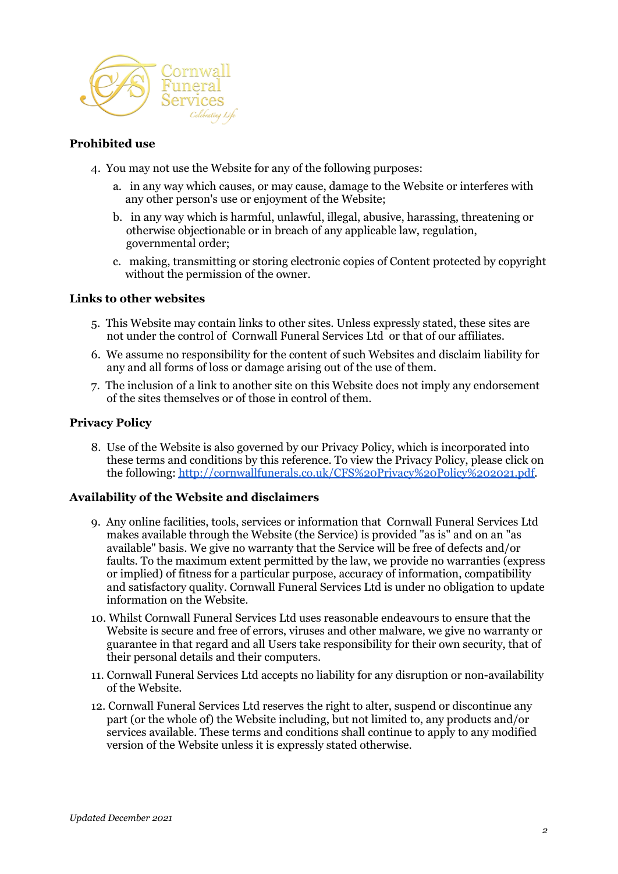

### **Prohibited use**

- 4. You may not use the Website for any of the following purposes:
	- a. in any way which causes, or may cause, damage to the Website or interferes with any other person's use or enjoyment of the Website;
	- b. in any way which is harmful, unlawful, illegal, abusive, harassing, threatening or otherwise objectionable or in breach of any applicable law, regulation, governmental order;
	- c. making, transmitting or storing electronic copies of Content protected by copyright without the permission of the owner.

#### **Links to other websites**

- 5. This Website may contain links to other sites. Unless expressly stated, these sites are not under the control of Cornwall Funeral Services Ltd or that of our affiliates.
- 6. We assume no responsibility for the content of such Websites and disclaim liability for any and all forms of loss or damage arising out of the use of them.
- 7. The inclusion of a link to another site on this Website does not imply any endorsement of the sites themselves or of those in control of them.

#### **Privacy Policy**

8. Use of the Website is also governed by our Privacy Policy, which is incorporated into these terms and conditions by this reference. To view the Privacy Policy, please click on the following: [http://cornwallfunerals.co.uk/CFS%20Privacy%20Policy%202021.pdf.](http://cornwallfunerals.co.uk/CFS%20Privacy%20Policy%202021.pdf)

#### **Availability of the Website and disclaimers**

- 9. Any online facilities, tools, services or information that Cornwall Funeral Services Ltd makes available through the Website (the Service) is provided "as is" and on an "as available" basis. We give no warranty that the Service will be free of defects and/or faults. To the maximum extent permitted by the law, we provide no warranties (express or implied) of fitness for a particular purpose, accuracy of information, compatibility and satisfactory quality. Cornwall Funeral Services Ltd is under no obligation to update information on the Website.
- 10. Whilst Cornwall Funeral Services Ltd uses reasonable endeavours to ensure that the Website is secure and free of errors, viruses and other malware, we give no warranty or guarantee in that regard and all Users take responsibility for their own security, that of their personal details and their computers.
- 11. Cornwall Funeral Services Ltd accepts no liability for any disruption or non-availability of the Website.
- 12. Cornwall Funeral Services Ltd reserves the right to alter, suspend or discontinue any part (or the whole of) the Website including, but not limited to, any products and/or services available. These terms and conditions shall continue to apply to any modified version of the Website unless it is expressly stated otherwise.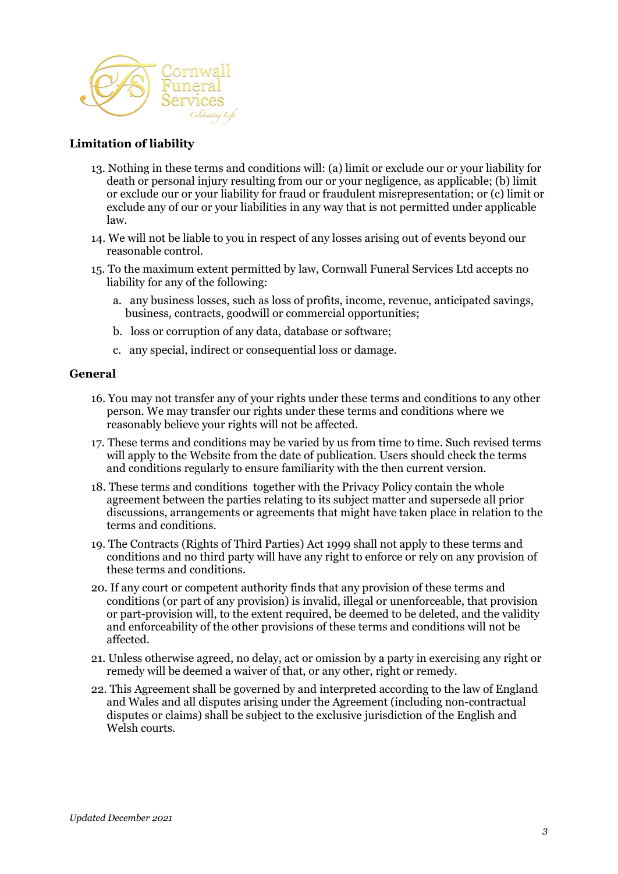

## **Limitation of liability**

- 13. Nothing in these terms and conditions will: (a) limit or exclude our or your liability for death or personal injury resulting from our or your negligence, as applicable; (b) limit or exclude our or your liability for fraud or fraudulent misrepresentation; or (c) limit or exclude any of our or your liabilities in any way that is not permitted under applicable law.
- 14. We will not be liable to you in respect of any losses arising out of events beyond our reasonable control.
- 15. To the maximum extent permitted by law, Cornwall Funeral Services Ltd accepts no liability for any of the following:
	- a. any business losses, such as loss of profits, income, revenue, anticipated savings, business, contracts, goodwill or commercial opportunities;
	- b. loss or corruption of any data, database or software;
	- c. any special, indirect or consequential loss or damage.

#### **General**

- 16. You may not transfer any of your rights under these terms and conditions to any other person. We may transfer our rights under these terms and conditions where we reasonably believe your rights will not be affected.
- 17. These terms and conditions may be varied by us from time to time. Such revised terms will apply to the Website from the date of publication. Users should check the terms and conditions regularly to ensure familiarity with the then current version.
- 18. These terms and conditions together with the Privacy Policy contain the whole agreement between the parties relating to its subject matter and supersede all prior discussions, arrangements or agreements that might have taken place in relation to the terms and conditions.
- 19. The Contracts (Rights of Third Parties) Act 1999 shall not apply to these terms and conditions and no third party will have any right to enforce or rely on any provision of these terms and conditions.
- 20. If any court or competent authority finds that any provision of these terms and conditions (or part of any provision) is invalid, illegal or unenforceable, that provision or part-provision will, to the extent required, be deemed to be deleted, and the validity and enforceability of the other provisions of these terms and conditions will not be affected.
- 21. Unless otherwise agreed, no delay, act or omission by a party in exercising any right or remedy will be deemed a waiver of that, or any other, right or remedy.
- 22. This Agreement shall be governed by and interpreted according to the law of England and Wales and all disputes arising under the Agreement (including non-contractual disputes or claims) shall be subject to the exclusive jurisdiction of the English and Welsh courts.